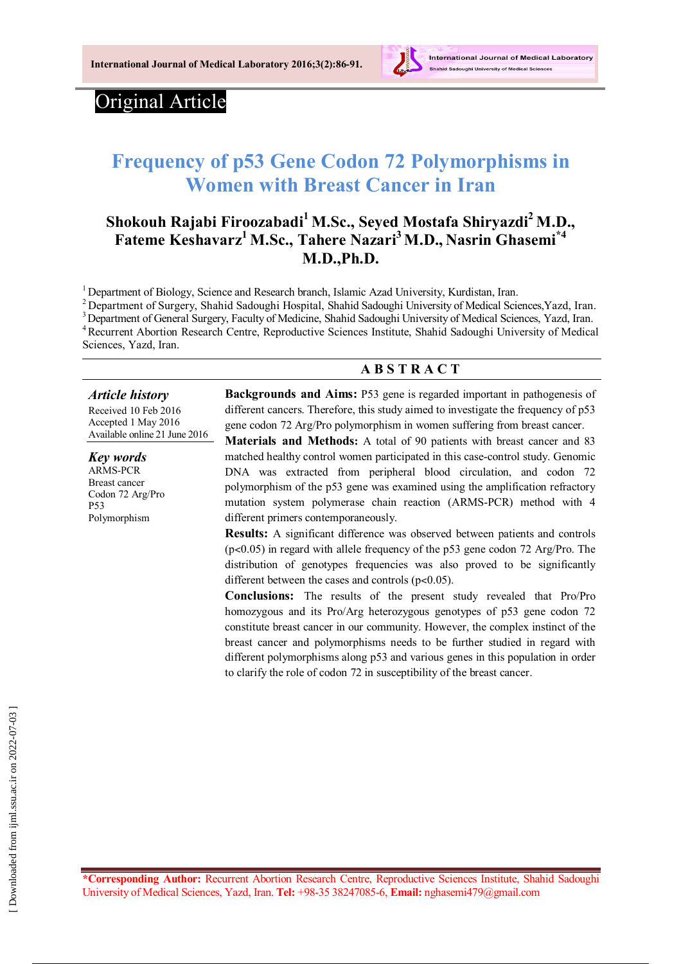

## Original Article

# **Frequency of p53 Gene Codon 72 Polymorphisms in Women with Breast Cancer in Iran**

## **Shokouh Rajabi Firoozabadi<sup>1</sup> M.Sc., Seyed Mostafa Shiryazdi<sup>2</sup> M.D., Fateme Keshavarz<sup>1</sup> M.Sc., Tahere Nazari<sup>3</sup>M.D., Nasrin Ghasemi\*4 M.D.,Ph.D.**

<sup>1</sup> Department of Biology, Science and Research branch, Islamic Azad University, Kurdistan, Iran.

<sup>2</sup> Department of Surgery, Shahid Sadoughi Hospital, Shahid Sadoughi University of Medical Sciences, Yazd, Iran. <sup>3</sup> Department of General Surgery, Faculty of Medicine, Shahid Sadoughi University of Medical Sciences, Yazd, Iran. <sup>4</sup> Recurrent Abortion Research Centre, Reproductive Sciences Institute, Shahid Sadoughi University of Medical Sciences, Yazd, Iran.

#### **A B S T R A C T**

#### *Article history*

Received 10 Feb 2016 Accepted 1 May 2016 Available online 21 June 2016

*Key words* ARMS-PCR Breast cancer Codon 72 Arg/Pro P53 Polymorphism

**Backgrounds and Aims:** P53 gene is regarded important in pathogenesis of different cancers. Therefore, this study aimed to investigate the frequency of p53 gene codon 72 Arg/Pro polymorphism in women suffering from breast cancer.

**Materials and Methods:** A total of 90 patients with breast cancer and 83 matched healthy control women participated in this case-control study. Genomic DNA was extracted from peripheral blood circulation, and codon 72 polymorphism of the p53 gene was examined using the amplification refractory mutation system polymerase chain reaction (ARMS-PCR) method with 4 different primers contemporaneously.

**Results:** A significant difference was observed between patients and controls (p˂0.05) in regard with allele frequency of the p53 gene codon 72 Arg/Pro. The distribution of genotypes frequencies was also proved to be significantly different between the cases and controls (p<0.05).

**Conclusions:** The results of the present study revealed that Pro/Pro homozygous and its Pro/Arg heterozygous genotypes of p53 gene codon 72 constitute breast cancer in our community. However, the complex instinct of the breast cancer and polymorphisms needs to be further studied in regard with different polymorphisms along p53 and various genes in this population in order to clarify the role of codon 72 in susceptibility of the breast cancer.

**\*Corresponding Author:** Recurrent Abortion Research Centre, Reproductive Sciences Institute, Shahid Sadoughi University of Medical Sciences, Yazd, Iran. **Tel:** +98-35 38247085-6, **Email:** nghasemi479@gmail.com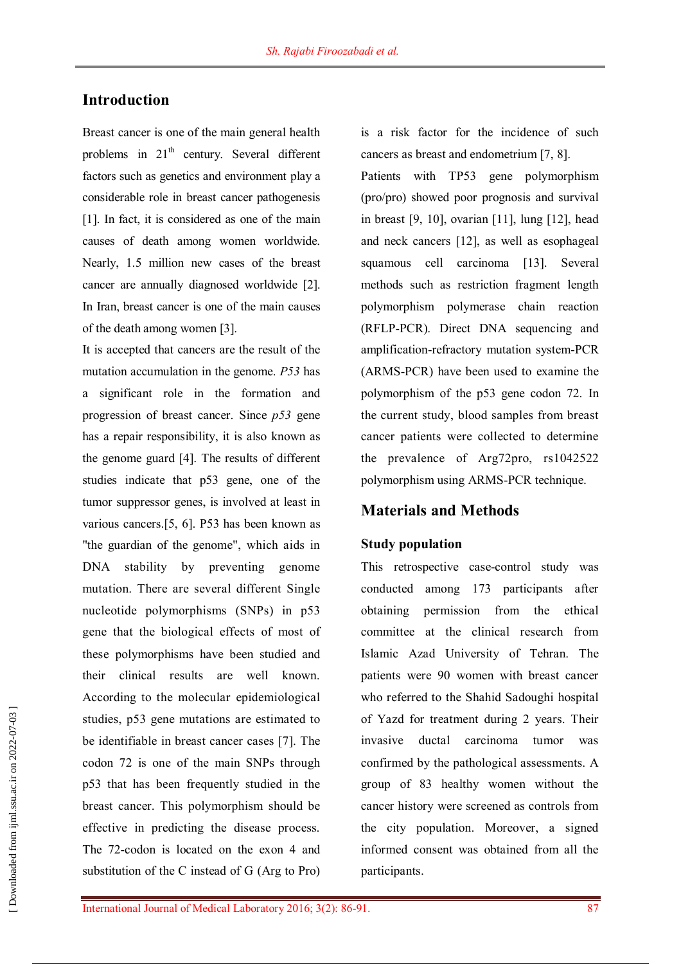## **Introduction**

Breast cancer is one of the main general health problems in  $21<sup>th</sup>$  century. Several different factors such as genetics and environment play a considerable role in breast cancer pathogenesis [1]. In fact, it is considered as one of the main causes of death among women worldwide. Nearly, 1.5 million new cases of the breast cancer are annually diagnosed worldwide [2]. In Iran, breast cancer is one of the main causes of the death among women [3].

It is accepted that cancers are the result of the mutation accumulation in the genome. *P53* has a significant role in the formation and progression of breast cancer. Since *p53* gene has a repair responsibility, it is also known as the genome guard [4]. The results of different studies indicate that p53 gene, one of the tumor suppressor genes, is involved at least in various cancers.[5, 6]. P53 has been known as "the guardian of the genome", which aids in DNA stability by preventing genome mutation. There are several different Single nucleotide polymorphisms (SNPs) in p53 gene that the biological effects of most of these polymorphisms have been studied and their clinical results are well known. According to the molecular epidemiological studies, p53 gene mutations are estimated to be identifiable in breast cancer cases [7]. The codon 72 is one of the main SNPs through p53 that has been frequently studied in the breast cancer. This polymorphism should be effective in predicting the disease process. The 72-codon is located on the exon 4 and substitution of the C instead of G (Arg to Pro)

is a risk factor for the incidence of such cancers as breast and endometrium [7, 8].

Patients with TP53 gene polymorphism (pro/pro) showed poor prognosis and survival in breast [9, 10], ovarian [11], lung [12], head and neck cancers [12], as well as esophageal squamous cell carcinoma [13]. Several methods such as restriction fragment length polymorphism polymerase chain reaction (RFLP-PCR). Direct DNA sequencing and amplification-refractory mutation system-PCR (ARMS-PCR) have been used to examine the polymorphism of the p53 gene codon 72. In the current study, blood samples from breast cancer patients were collected to determine the prevalence of Arg72pro, rs1042522 polymorphism using ARMS-PCR technique.

#### **Materials and Methods**

#### **Study population**

This retrospective case-control study was conducted among 173 participants after obtaining permission from the ethical committee at the clinical research from Islamic Azad University of Tehran. The patients were 90 women with breast cancer who referred to the Shahid Sadoughi hospital of Yazd for treatment during 2 years. Their invasive ductal carcinoma tumor was confirmed by the pathological assessments. A group of 83 healthy women without the cancer history were screened as controls from the city population. Moreover, a signed informed consent was obtained from all the participants.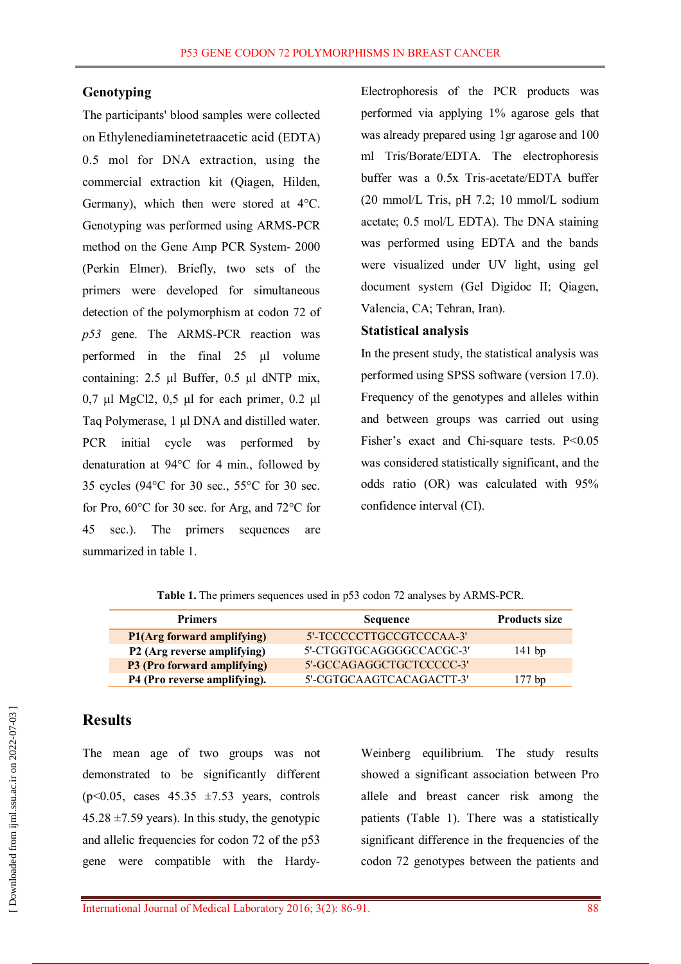#### **Genotyping**

The participants' blood samples were collected on Ethylenediaminetetraacetic acid (EDTA) 0.5 mol for DNA extraction, using the commercial extraction kit (Qiagen, Hilden, Germany), which then were stored at 4°C. Genotyping was performed using ARMS-PCR method on the Gene Amp PCR System- 2000 (Perkin Elmer). Briefly, two sets of the primers were developed for simultaneous detection of the polymorphism at codon 72 of *p53* gene. The ARMS-PCR reaction was performed in the final 25 μl volume containing: 2.5 μl Buffer, 0.5 μl dNTP mix, 0,7 μl MgCl2, 0,5 μl for each primer, 0.2 μl Taq Polymerase, 1 μl DNA and distilled water. PCR initial cycle was performed by denaturation at 94°C for 4 min., followed by 35 cycles (94°C for 30 sec., 55°C for 30 sec. for Pro, 60°C for 30 sec. for Arg, and 72°C for 45 sec.). The primers sequences are summarized in table 1.

Electrophoresis of the PCR products was performed via applying 1% agarose gels that was already prepared using 1gr agarose and 100 ml Tris/Borate/EDTA. The electrophoresis buffer was a 0.5x Tris-acetate/EDTA buffer (20 mmol/L Tris, pH 7.2; 10 mmol/L sodium acetate; 0.5 mol/L EDTA). The DNA staining was performed using EDTA and the bands were visualized under UV light, using gel document system (Gel Digidoc II; Qiagen, Valencia, CA; Tehran, Iran).

#### **Statistical analysis**

In the present study, the statistical analysis was performed using SPSS software (version 17.0). Frequency of the genotypes and alleles within and between groups was carried out using Fisher's exact and Chi-square tests. P<0.05 was considered statistically significant, and the odds ratio (OR) was calculated with 95% confidence interval (CI).

**Table 1.** The primers sequences used in p53 codon 72 analyses by ARMS-PCR.

| <b>Primers</b>               | <b>Sequence</b>          |          |
|------------------------------|--------------------------|----------|
| P1(Arg forward amplifying)   | 5'-TCCCCCTTGCCGTCCCAA-3' |          |
| P2 (Arg reverse amplifying)  | 5'-CTGGTGCAGGGGCCACGC-3' | $141$ bp |
| P3 (Pro forward amplifying)  | 5'-GCCAGAGGCTGCTCCCCC-3' |          |
| P4 (Pro reverse amplifying). | 5'-CGTGCAAGTCACAGACTT-3' | 177 bp   |

#### **Results**

The mean age of two groups was not demonstrated to be significantly different  $(p<0.05$ , cases  $45.35 \pm 7.53$  years, controls  $45.28 \pm 7.59$  years). In this study, the genotypic and allelic frequencies for codon 72 of the p53 gene were compatible with the HardyWeinberg equilibrium. The study results showed a significant association between Pro allele and breast cancer risk among the patients (Table 1). There was a statistically significant difference in the frequencies of the codon 72 genotypes between the patients and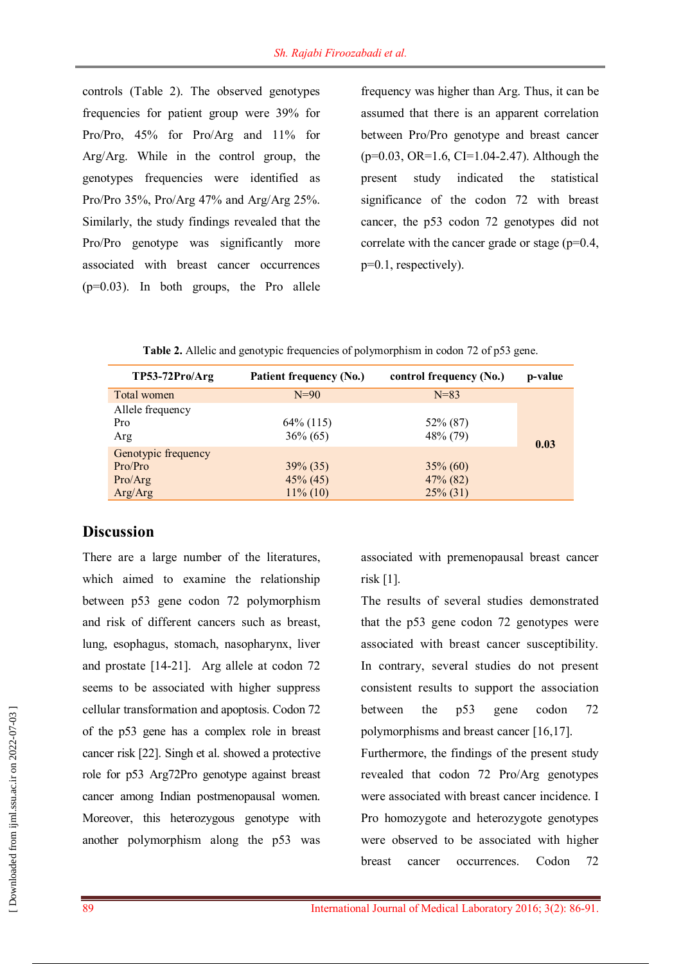controls (Table 2). The observed genotypes frequencies for patient group were 39% for Pro/Pro, 45% for Pro/Arg and 11% for Arg/Arg. While in the control group, the genotypes frequencies were identified as Pro/Pro 35%, Pro/Arg 47% and Arg/Arg 25%. Similarly, the study findings revealed that the Pro/Pro genotype was significantly more associated with breast cancer occurrences (p=0.03). In both groups, the Pro allele

frequency was higher than Arg. Thus, it can be assumed that there is an apparent correlation between Pro/Pro genotype and breast cancer  $(p=0.03, OR=1.6, CI=1.04-2.47)$ . Although the present study indicated the statistical significance of the codon 72 with breast cancer, the p53 codon 72 genotypes did not correlate with the cancer grade or stage (p=0.4, p=0.1, respectively).

| $TP53-72Pro/Arg$    | Patient frequency (No.) | control frequency (No.) | p-value |
|---------------------|-------------------------|-------------------------|---------|
| Total women         | $N=90$                  | $N = 83$                |         |
| Allele frequency    |                         |                         |         |
| Pro                 | $64\%$ (115)            | 52\% (87)               |         |
| Arg                 | $36\% (65)$             | 48\% (79)               | 0.03    |
| Genotypic frequency |                         |                         |         |
| Pro/Pro             | $39\% (35)$             | $35\% (60)$             |         |
| Pro/Arg             | $45\%$ (45)             | $47\%$ (82)             |         |
| Arg/Arg             | $11\%$ (10)             | $25\%$ (31)             |         |

| Table 2. Allelic and genotypic frequencies of polymorphism in codon 72 of p53 gene. |  |  |  |  |
|-------------------------------------------------------------------------------------|--|--|--|--|
|-------------------------------------------------------------------------------------|--|--|--|--|

### **Discussion**

There are a large number of the literatures, which aimed to examine the relationship between p53 gene codon 72 polymorphism and risk of different cancers such as breast, lung, esophagus, stomach, nasopharynx, liver and prostate [14-21]. Arg allele at codon 72 seems to be associated with higher suppress cellular transformation and apoptosis. Codon 72 of the p53 gene has a complex role in breast cancer risk [22]. Singh et al. showed a protective role for p53 Arg72Pro genotype against breast cancer among Indian postmenopausal women. Moreover, this heterozygous genotype with another polymorphism along the p53 was

associated with premenopausal breast cancer risk [1].

The results of several studies demonstrated that the p53 gene codon 72 genotypes were associated with breast cancer susceptibility. In contrary, several studies do not present consistent results to support the association between the p53 gene codon 72 polymorphisms and breast cancer [16,17].

Furthermore, the findings of the present study revealed that codon 72 Pro/Arg genotypes were associated with breast cancer incidence. I Pro homozygote and heterozygote genotypes were observed to be associated with higher breast cancer occurrences. Codon 72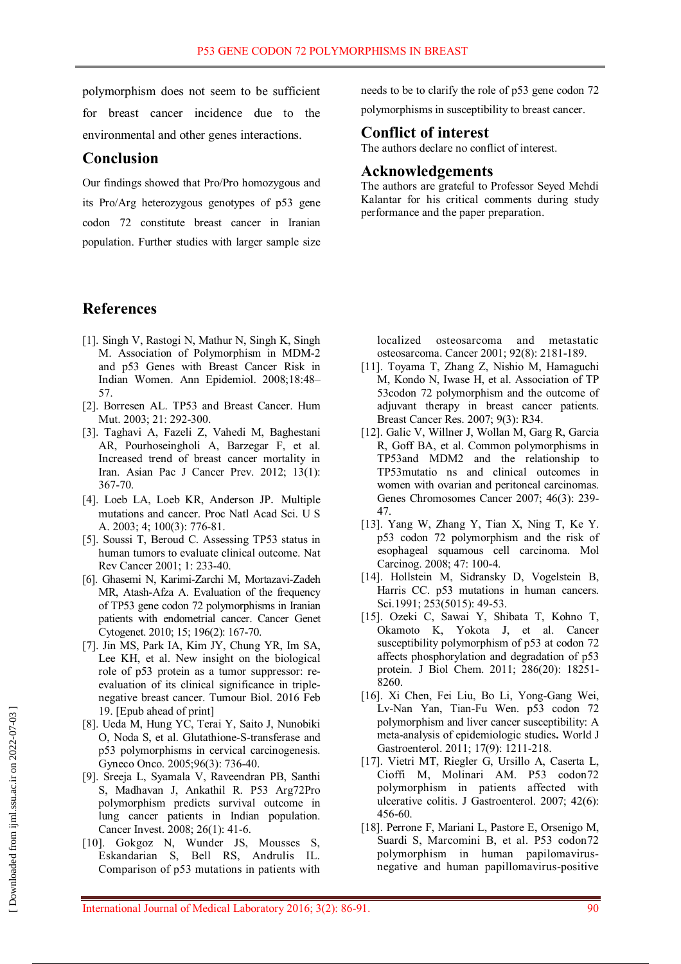polymorphism does not seem to be sufficient for breast cancer incidence due to the environmental and other genes interactions.

## **Conclusion**

Our findings showed that Pro/Pro homozygous and its Pro/Arg heterozygous genotypes of p53 gene codon 72 constitute breast cancer in Iranian population. Further studies with larger sample size

## **References**

- [1]. Singh V, Rastogi N, Mathur N, Singh K, Singh M. Association of Polymorphism in MDM-2 and p53 Genes with Breast Cancer Risk in Indian Women. Ann Epidemiol. 2008;18:48– 57.
- [2]. Borresen AL. TP53 and Breast Cancer. Hum Mut. 2003; 21: 292-300.
- [3]. Taghavi A, Fazeli Z, Vahedi M, Baghestani AR, Pourhoseingholi A, Barzegar F, et al. Increased trend of breast cancer mortality in Iran. Asian Pac J Cancer Prev. 2012; 13(1): 367-70.
- [4]. Loeb LA, Loeb KR, Anderson JP. Multiple mutations and cancer. Proc Natl Acad Sci. U S A. 2003; 4; 100(3): 776-81.
- [5]. Soussi T, Beroud C. Assessing TP53 status in human tumors to evaluate clinical outcome. Nat Rev Cancer 2001; 1: 233-40.
- [6]. Ghasemi N, Karimi-Zarchi M, Mortazavi-Zadeh MR, Atash-Afza A. Evaluation of the frequency of TP53 gene codon 72 polymorphisms in Iranian patients with endometrial cancer. Cancer Genet Cytogenet. 2010; 15; 196(2): 167-70.
- [7]. Jin MS, Park IA, Kim JY, Chung YR, Im SA, Lee KH, et al. New insight on the biological role of p53 protein as a tumor suppressor: reevaluation of its clinical significance in triplenegative breast cancer. Tumour Biol. 2016 Feb 19. [Epub ahead of print]
- [8]. Ueda M, Hung YC, Terai Y, Saito J, Nunobiki O, Noda S, et al. Glutathione-S-transferase and p53 polymorphisms in cervical carcinogenesis. Gyneco Onco. 2005;96(3): 736-40.
- [9]. Sreeja L, Syamala V, Raveendran PB, Santhi S, Madhavan J, Ankathil R. P53 Arg72Pro polymorphism predicts survival outcome in lung cancer patients in Indian population. Cancer Invest. 2008; 26(1): 41-6.
- [10]. Gokgoz N, Wunder JS, Mousses S, Eskandarian S, Bell RS, Andrulis IL. Comparison of p53 mutations in patients with

needs to be to clarify the role of p53 gene codon 72 polymorphisms in susceptibility to breast cancer.

## **Conflict of interest**

The authors declare no conflict of interest.

## **Acknowledgements**

The authors are grateful to Professor Seyed Mehdi Kalantar for his critical comments during study performance and the paper preparation.

localized osteosarcoma and metastatic osteosarcoma. Cancer 2001; 92(8): 2181-189.

- [11]. Toyama T, Zhang Z, Nishio M, Hamaguchi M, Kondo N, Iwase H, et al. Association of TP 53codon 72 polymorphism and the outcome of adjuvant therapy in breast cancer patients. Breast Cancer Res. 2007; 9(3): R34.
- [12]. Galic V, Willner J, Wollan M, Garg R, Garcia R, Goff BA, et al. Common polymorphisms in TP53and MDM2 and the relationship to TP53mutatio ns and clinical outcomes in women with ovarian and peritoneal carcinomas. Genes Chromosomes Cancer 2007; 46(3): 239- 47.
- [13]. Yang W, Zhang Y, Tian X, Ning T, Ke Y. p53 codon 72 polymorphism and the risk of esophageal squamous cell carcinoma. Mol Carcinog. 2008; 47: 100-4.
- [14]. Hollstein M, Sidransky D, Vogelstein B, Harris CC. p53 mutations in human cancers. Sci.1991; 253(5015): 49-53.
- [15]. Ozeki C, Sawai Y, Shibata T, Kohno T, Okamoto K, Yokota J, et al. Cancer susceptibility polymorphism of p53 at codon 72 affects phosphorylation and degradation of p53 protein. J Biol Chem. 2011; 286(20): 18251- 8260.
- [16]. Xi Chen, Fei Liu, Bo Li, Yong-Gang Wei, Lv-Nan Yan, Tian-Fu Wen. p53 codon 72 polymorphism and liver cancer susceptibility: A meta-analysis of epidemiologic studies**.** World J Gastroenterol. 2011; 17(9): 1211-218.
- [17]. Vietri MT, Riegler G, Ursillo A, Caserta L, Cioffi M, Molinari AM. P53 codon72 polymorphism in patients affected with ulcerative colitis. J Gastroenterol. 2007; 42(6): 456-60.
- [18]. Perrone F, Mariani L, Pastore E, Orsenigo M, Suardi S, Marcomini B, et al. P53 codon72 polymorphism in human papilomavirusnegative and human papillomavirus-positive